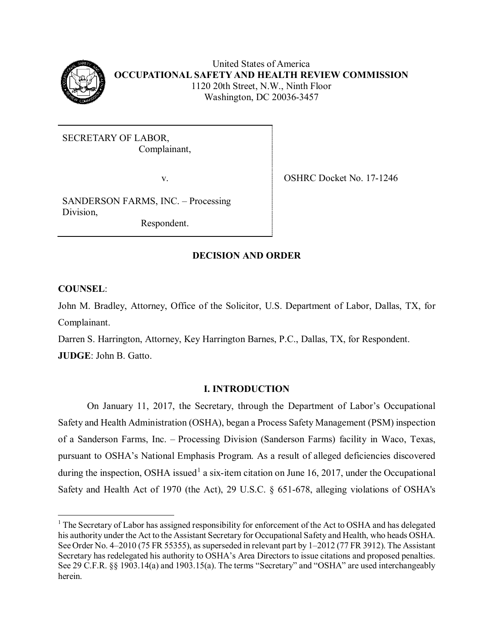

 United States of America **OCCUPATIONAL SAFETY AND HEALTH REVIEW COMMISSION**  1120 20th Street, N.W., Ninth Floor Washington, DC 20036-3457

SECRETARY OF LABOR, Complainant,

SANDERSON FARMS, INC. – Processing Division,

Respondent.

v. SHRC Docket No. 17-1246

# **DECISION AND ORDER**

**COUNSEL**:

 $\overline{\phantom{a}}$ 

John M. Bradley, Attorney, Office of the Solicitor, U.S. Department of Labor, Dallas, TX, for Complainant.

Darren S. Harrington, Attorney, Key Harrington Barnes, P.C., Dallas, TX, for Respondent. **JUDGE**: John B. Gatto.

# **I. INTRODUCTION**

 of a Sanderson Farms, Inc. – Processing Division (Sanderson Farms) facility in Waco, Texas, On January 11, 2017, the Secretary, through the Department of Labor's Occupational Safety and Health Administration (OSHA), began a Process Safety Management (PSM) inspection pursuant to OSHA's National Emphasis Program. As a result of alleged deficiencies discovered during the inspection, OSHA issued<sup>1</sup> a six-item citation on June 16, 2017, under the Occupational Safety and Health Act of 1970 (the Act), 29 U.S.C. § 651-678, alleging violations of OSHA's

<span id="page-0-0"></span> $1$  The Secretary of Labor has assigned responsibility for enforcement of the Act to OSHA and has delegated his authority under the Act to the Assistant Secretary for Occupational Safety and Health, who heads OSHA. See Order No. 4–2010 (75 FR 55355), as superseded in relevant part by 1–2012 (77 FR 3912). The Assistant Secretary has redelegated his authority to OSHA's Area Directors to issue citations and proposed penalties. See 29 C.F.R. §§ 1903.14(a) and 1903.15(a). The terms "Secretary" and "OSHA" are used interchangeably herein.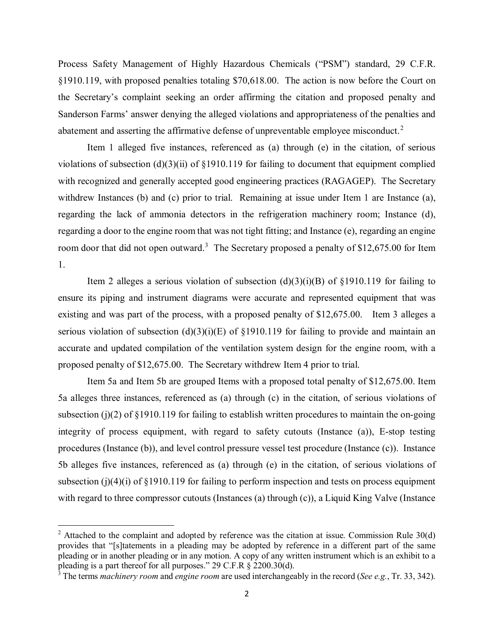§1910.119, with proposed penalties totaling \$70,618.00. The action is now before the Court on Sanderson Farms' answer denying the alleged violations and appropriateness of the penalties and Process Safety Management of Highly Hazardous Chemicals ("PSM") standard, 29 C.F.R. the Secretary's complaint seeking an order affirming the citation and proposed penalty and abatement and asserting the affirmative defense of unpreventable employee misconduct.<sup>[2](#page-1-0)</sup>

 with recognized and generally accepted good engineering practices (RAGAGEP). The Secretary withdrew Instances (b) and (c) prior to trial. Remaining at issue under Item 1 are Instance (a), regarding a door to the engine room that was not tight fitting; and Instance (e), regarding an engine room door that did not open outward.<sup>[3](#page-1-1)</sup> The Secretary proposed a penalty of \$12,675.00 for Item Item 1 alleged five instances, referenced as (a) through (e) in the citation, of serious violations of subsection (d)(3)(ii) of §1910.119 for failing to document that equipment complied regarding the lack of ammonia detectors in the refrigeration machinery room; Instance (d), 1.

 existing and was part of the process, with a proposed penalty of \$12,675.00. Item 3 alleges a accurate and updated compilation of the ventilation system design for the engine room, with a proposed penalty of \$12,675.00. The Secretary withdrew Item 4 prior to trial. Item 2 alleges a serious violation of subsection  $(d)(3)(i)(B)$  of §1910.119 for failing to ensure its piping and instrument diagrams were accurate and represented equipment that was serious violation of subsection  $(d)(3)(i)(E)$  of §1910.119 for failing to provide and maintain an

 Item 5a and Item 5b are grouped Items with a proposed total penalty of \$12,675.00. Item integrity of process equipment, with regard to safety cutouts (Instance (a)), E-stop testing procedures (Instance (b)), and level control pressure vessel test procedure (Instance (c)). Instance 5b alleges five instances, referenced as (a) through (e) in the citation, of serious violations of with regard to three compressor cutouts (Instances (a) through (c)), a Liquid King Valve (Instance 5a alleges three instances, referenced as (a) through (c) in the citation, of serious violations of subsection (j)(2) of  $\S 1910.119$  for failing to establish written procedures to maintain the on-going subsection (j)(4)(i) of  $\S 1910.119$  for failing to perform inspection and tests on process equipment

l

<span id="page-1-0"></span><sup>&</sup>lt;sup>2</sup> Attached to the complaint and adopted by reference was the citation at issue. Commission Rule  $30(d)$ provides that "[s]tatements in a pleading may be adopted by reference in a different part of the same pleading or in another pleading or in any motion. A copy of any written instrument which is an exhibit to a pleading is a part thereof for all purposes." 29 C.F.R § 2200.30(d).

<span id="page-1-1"></span><sup>3</sup> The terms *machinery room* and *engine room* are used interchangeably in the record (*See e.g.*, Tr. 33, 342).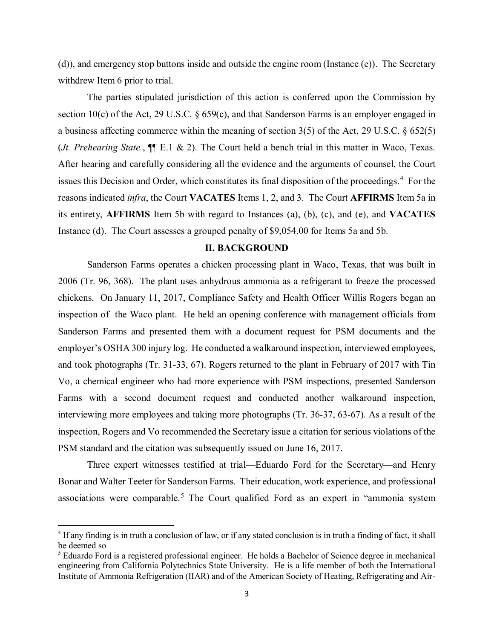(d)), and emergency stop buttons inside and outside the engine room (Instance (e)). The Secretary withdrew Item 6 prior to trial.

section 10(c) of the Act, 29 U.S.C. § 659(c), and that Sanderson Farms is an employer engaged in a business affecting commerce within the meaning of section 3(5) of the Act, 29 U.S.C. § 652(5) (*Jt. Prehearing State.*, ¶¶ E.1 & 2). The Court held a bench trial in this matter in Waco, Texas. issues this Decision and Order, which constitutes its final disposition of the proceedings.<sup>[4](#page-2-0)</sup> For the reasons indicated *infra*, the Court **VACATES** Items 1, 2, and 3. The Court **AFFIRMS** Item 5a in Instance (d). The Court assesses a grouped penalty of \$9,054.00 for Items 5a and 5b. The parties stipulated jurisdiction of this action is conferred upon the Commission by After hearing and carefully considering all the evidence and the arguments of counsel, the Court its entirety, **AFFIRMS** Item 5b with regard to Instances (a), (b), (c), and (e), and **VACATES** 

#### **II. BACKGROUND**

 Sanderson Farms operates a chicken processing plant in Waco, Texas, that was built in 2006 (Tr. 96, 368). The plant uses anhydrous ammonia as a refrigerant to freeze the processed inspection of the Waco plant. He held an opening conference with management officials from interviewing more employees and taking more photographs (Tr. 36-37, 63-67). As a result of the inspection, Rogers and Vo recommended the Secretary issue a citation for serious violations of the PSM standard and the citation was subsequently issued on June 16, 2017. chickens. On January 11, 2017, Compliance Safety and Health Officer Willis Rogers began an Sanderson Farms and presented them with a document request for PSM documents and the employer's OSHA 300 injury log. He conducted a walkaround inspection, interviewed employees, and took photographs (Tr. 31-33, 67). Rogers returned to the plant in February of 2017 with Tin Vo, a chemical engineer who had more experience with PSM inspections, presented Sanderson Farms with a second document request and conducted another walkaround inspection,

Three expert witnesses testified at trial—Eduardo Ford for the Secretary—and Henry Bonar and Walter Teeter for Sanderson Farms. Their education, work experience, and professional associations were comparable.<sup>[5](#page-2-1)</sup> The Court qualified Ford as an expert in "ammonia system

l

<span id="page-2-0"></span><sup>&</sup>lt;sup>4</sup> If any finding is in truth a conclusion of law, or if any stated conclusion is in truth a finding of fact, it shall be deemed so

<span id="page-2-1"></span> $<sup>5</sup>$  Eduardo Ford is a registered professional engineer. He holds a Bachelor of Science degree in mechanical</sup> Institute of Ammonia Refrigeration (IIAR) and of the American Society of Heating, Refrigerating and Airengineering from California Polytechnics State University. He is a life member of both the International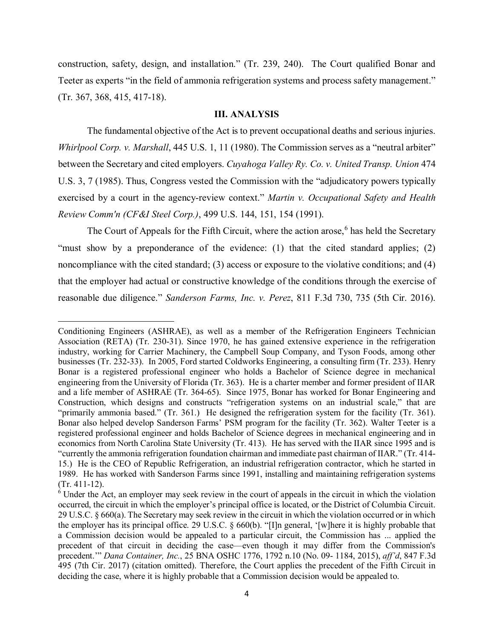construction, safety, design, and installation." (Tr. 239, 240). The Court qualified Bonar and Teeter as experts "in the field of ammonia refrigeration systems and process safety management." (Tr. 367, 368, 415, 417-18).

#### **III. ANALYSIS**

 The fundamental objective of the Act is to prevent occupational deaths and serious injuries. between the Secretary and cited employers. *Cuyahoga Valley Ry. Co. v. United Transp. Union* 474 *Whirlpool Corp. v. Marshall*, 445 U.S. 1, 11 (1980). The Commission serves as a "neutral arbiter" U.S. 3, 7 (1985). Thus, Congress vested the Commission with the "adjudicatory powers typically exercised by a court in the agency-review context." *Martin v. Occupational Safety and Health Review Comm'n (CF&I Steel Corp.)*, 499 U.S. 144, 151, 154 (1991).

The Court of Appeals for the Fifth Circuit, where the action arose,<sup>[6](#page-3-0)</sup> has held the Secretary "must show by a preponderance of the evidence: (1) that the cited standard applies; (2) noncompliance with the cited standard; (3) access or exposure to the violative conditions; and (4) reasonable due diligence." Sanderson Farms, Inc. v. Perez, 811 F.3d 730, 735 (5th Cir. 2016). reasonable due diligence." *Sanderson Farms, Inc. v. Perez*, 811 F.3d 730, 735 (5th Cir. 2016).<br>
Conditioning Engineers (ASHRAE), as well as a member of the Refrigeration Engineers Technician that the employer had actual or constructive knowledge of the conditions through the exercise of

 $\overline{\phantom{a}}$ 

 Association (RETA) (Tr. 230-31). Since 1970, he has gained extensive experience in the refrigeration Bonar is a registered professional engineer who holds a Bachelor of Science degree in mechanical and a life member of ASHRAE (Tr. 364-65). Since 1975, Bonar has worked for Bonar Engineering and Construction, which designs and constructs "refrigeration systems on an industrial scale," that are "primarily ammonia based." (Tr. 361.) He designed the refrigeration system for the facility (Tr. 361). economics from North Carolina State University (Tr. 413). He has served with the IIAR since 1995 and is industry, working for Carrier Machinery, the Campbell Soup Company, and Tyson Foods, among other businesses (Tr. 232-33). In 2005, Ford started Coldworks Engineering, a consulting firm (Tr. 233). Henry engineering from the University of Florida (Tr. 363). He is a charter member and former president of IIAR Bonar also helped develop Sanderson Farms' PSM program for the facility (Tr. 362). Walter Teeter is a registered professional engineer and holds Bachelor of Science degrees in mechanical engineering and in "currently the ammonia refrigeration foundation chairman and immediate past chairman of IIAR." (Tr. 414- 15.) He is the CEO of Republic Refrigeration, an industrial refrigeration contractor, which he started in 1989. He has worked with Sanderson Farms since 1991, installing and maintaining refrigeration systems (Tr. 411-12).

<span id="page-3-0"></span> precedent.'" *Dana Container, Inc.*, 25 BNA OSHC 1776, 1792 n.10 (No. 09- 1184, 2015), *aff'd*, 847 F.3d <sup>6</sup> Under the Act, an employer may seek review in the court of appeals in the circuit in which the violation occurred, the circuit in which the employer's principal office is located, or the District of Columbia Circuit. 29 U.S.C. § 660(a). The Secretary may seek review in the circuit in which the violation occurred or in which the employer has its principal office. 29 U.S.C. § 660(b). "[I]n general, '[w]here it is highly probable that a Commission decision would be appealed to a particular circuit, the Commission has ... applied the precedent of that circuit in deciding the case—even though it may differ from the Commission's 495 (7th Cir. 2017) (citation omitted). Therefore, the Court applies the precedent of the Fifth Circuit in deciding the case, where it is highly probable that a Commission decision would be appealed to.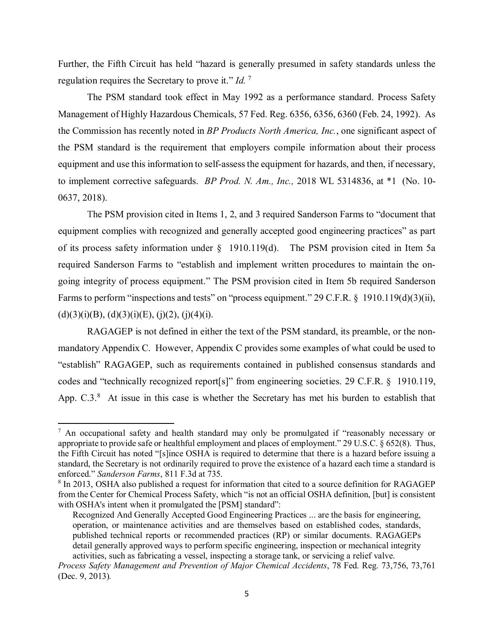Further, the Fifth Circuit has held "hazard is generally presumed in safety standards unless the regulation requires the Secretary to prove it." *Id.* [7](#page-4-0)

 the Commission has recently noted in *BP Products North America, Inc.*, one significant aspect of equipment and use this information to self-assess the equipment for hazards, and then, if necessary, 0637, 2018). The PSM standard took effect in May 1992 as a performance standard. Process Safety Management of Highly Hazardous Chemicals, 57 Fed. Reg. 6356, 6356, 6360 (Feb. 24, 1992). As the PSM standard is the requirement that employers compile information about their process to implement corrective safeguards. *BP Prod. N. Am., Inc.,* 2018 WL 5314836, at \*1 (No. 10-

 0637, 2018). The PSM provision cited in Items 1, 2, and 3 required Sanderson Farms to "document that of its process safety information under § 1910.119(d). The PSM provision cited in Item 5a equipment complies with recognized and generally accepted good engineering practices" as part required Sanderson Farms to "establish and implement written procedures to maintain the ongoing integrity of process equipment." The PSM provision cited in Item 5b required Sanderson Farms to perform "inspections and tests" on "process equipment." 29 C.F.R. § 1910.119(d)(3)(ii),  $(d)(3)(i)(B), (d)(3)(i)(E), (i)(2), (i)(4)(i).$ 

 RAGAGEP is not defined in either the text of the PSM standard, its preamble, or the non- codes and "technically recognized report[s]" from engineering societies. 29 C.F.R. § 1910.119, App.  $C.3$ .<sup>[8](#page-4-1)</sup> At issue in this case is whether the Secretary has met his burden to establish that mandatory Appendix C. However, Appendix C provides some examples of what could be used to "establish" RAGAGEP, such as requirements contained in published consensus standards and

 $\overline{\phantom{a}}$ 

<span id="page-4-0"></span> appropriate to provide safe or healthful employment and places of employment." 29 U.S.C. § 652(8). Thus, standard, the Secretary is not ordinarily required to prove the existence of a hazard each time a standard is  $<sup>7</sup>$  An occupational safety and health standard may only be promulgated if "reasonably necessary or</sup> the Fifth Circuit has noted "[s]ince OSHA is required to determine that there is a hazard before issuing a enforced." *Sanderson Farms*, 811 F.3d at 735.

<span id="page-4-1"></span> $8$  In 2013, OSHA also published a request for information that cited to a source definition for RAGAGEP with OSHA's intent when it promulgated the [PSM] standard": from the Center for Chemical Process Safety, which "is not an official OSHA definition, [but] is consistent

 detail generally approved ways to perform specific engineering, inspection or mechanical integrity Recognized And Generally Accepted Good Engineering Practices ... are the basis for engineering, operation, or maintenance activities and are themselves based on established codes, standards, published technical reports or recommended practices (RP) or similar documents. RAGAGEPs activities, such as fabricating a vessel, inspecting a storage tank, or servicing a relief valve.

*Process Safety Management and Prevention of Major Chemical Accidents*, 78 Fed. Reg. 73,756, 73,761 (Dec. 9, 2013)*.*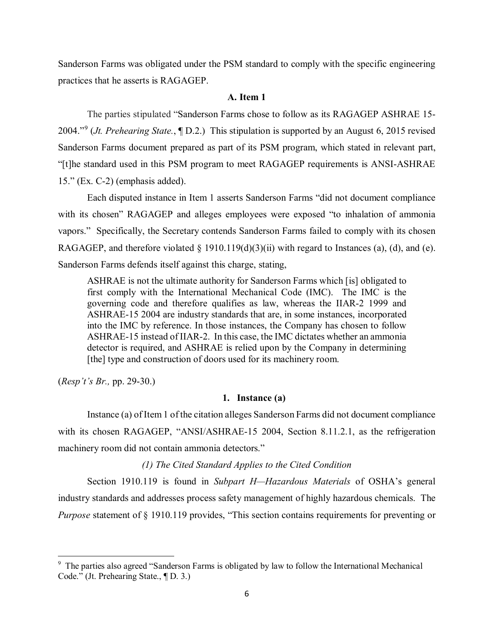Sanderson Farms was obligated under the PSM standard to comply with the specific engineering practices that he asserts is RAGAGEP.

#### **A. Item 1**

 The parties stipulated "Sanderson Farms chose to follow as its RAGAGEP ASHRAE 15- Sanderson Farms document prepared as part of its PSM program, which stated in relevant part, "[t]he standard used in this PSM program to meet RAGAGEP requirements is ANSI-ASHRAE 15." (Ex. C-2) (emphasis added). 2004."[9](#page-5-0) (*Jt. Prehearing State.*, ¶ D.2.) This stipulation is supported by an August 6, 2015 revised

 Each disputed instance in Item 1 asserts Sanderson Farms "did not document compliance vapors." Specifically, the Secretary contends Sanderson Farms failed to comply with its chosen RAGAGEP, and therefore violated § 1910.119(d)(3)(ii) with regard to Instances (a), (d), and (e). with its chosen" RAGAGEP and alleges employees were exposed "to inhalation of ammonia Sanderson Farms defends itself against this charge, stating,

 ASHRAE is not the ultimate authority for Sanderson Farms which [is] obligated to first comply with the International Mechanical Code (IMC). The IMC is the governing code and therefore qualifies as law, whereas the IIAR-2 1999 and ASHRAE-15 2004 are industry standards that are, in some instances, incorporated into the IMC by reference. In those instances, the Company has chosen to follow ASHRAE-15 instead of IIAR-2. In this case, the IMC dictates whether an ammonia detector is required, and ASHRAE is relied upon by the Company in determining [the] type and construction of doors used for its machinery room.

(*Resp't's Br.,* pp. 29-30.)

 $\overline{\phantom{a}}$ 

#### **1. Instance (a)**

Instance (a) of Item 1 of the citation alleges Sanderson Farms did not document compliance with its chosen RAGAGEP, "ANSI/ASHRAE-15 2004, Section 8.11.2.1, as the refrigeration machinery room did not contain ammonia detectors."

#### *(1) The Cited Standard Applies to the Cited Condition*

Section 1910.119 is found in *Subpart H—Hazardous Materials* of OSHA's general industry standards and addresses process safety management of highly hazardous chemicals. The *Purpose* statement of § 1910.119 provides, "This section contains requirements for preventing or

<span id="page-5-0"></span><sup>&</sup>lt;sup>9</sup> The parties also agreed "Sanderson Farms is obligated by law to follow the International Mechanical Code." (Jt. Prehearing State., ¶ D. 3.)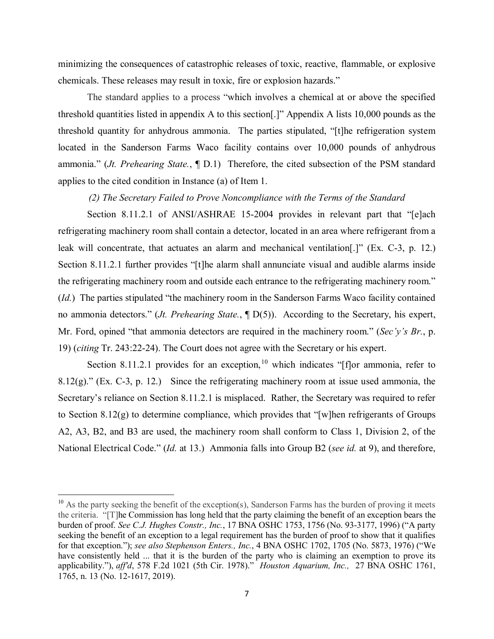chemicals. These releases may result in toxic, fire or explosion hazards." minimizing the consequences of catastrophic releases of toxic, reactive, flammable, or explosive

 ammonia." (*Jt. Prehearing State.*, ¶ D.1) Therefore, the cited subsection of the PSM standard The standard applies to a process "which involves a chemical at or above the specified threshold quantities listed in appendix A to this section[.]" Appendix A lists 10,000 pounds as the threshold quantity for anhydrous ammonia. The parties stipulated, "[t]he refrigeration system located in the Sanderson Farms Waco facility contains over 10,000 pounds of anhydrous applies to the cited condition in Instance (a) of Item 1.

### *(2) The Secretary Failed to Prove Noncompliance with the Terms of the Standard*

 Section 8.11.2.1 of ANSI/ASHRAE 15-2004 provides in relevant part that "[e]ach Section 8.11.2.1 further provides "[t]he alarm shall annunciate visual and audible alarms inside the refrigerating machinery room and outside each entrance to the refrigerating machinery room." no ammonia detectors." (*Jt. Prehearing State.*, ¶ D(5)). According to the Secretary, his expert, refrigerating machinery room shall contain a detector, located in an area where refrigerant from a leak will concentrate, that actuates an alarm and mechanical ventilation[.]" (Ex. C-3, p. 12.) (*Id.*) The parties stipulated "the machinery room in the Sanderson Farms Waco facility contained Mr. Ford, opined "that ammonia detectors are required in the machinery room." (*Sec'y's Br.*, p. 19) (*citing* Tr. 243:22-24). The Court does not agree with the Secretary or his expert.

 $8.12(g)$ ." (Ex. C-3, p. 12.) Since the refrigerating machinery room at issue used ammonia, the Secretary's reliance on Section 8.11.2.1 is misplaced. Rather, the Secretary was required to refer A2, A3, B2, and B3 are used, the machinery room shall conform to Class 1, Division 2, of the National Electrical Code." (*Id.* at 13.) Ammonia falls into Group B2 (*see id.* at 9), and therefore, Section 8.11.2.1 provides for an exception,<sup>[10](#page-6-0)</sup> which indicates "[f]or ammonia, refer to to Section 8.12(g) to determine compliance, which provides that "[w]hen refrigerants of Groups

l

<span id="page-6-0"></span> have consistently held ... that it is the burden of the party who is claiming an exemption to prove its applicability."), *aff'd*, 578 F.2d 1021 (5th Cir. 1978)." *Houston Aquarium, Inc.,* 27 BNA OSHC 1761,  $10$  As the party seeking the benefit of the exception(s), Sanderson Farms has the burden of proving it meets the criteria. "[T]he Commission has long held that the party claiming the benefit of an exception bears the burden of proof. *See C.J. Hughes Constr., Inc.*, 17 BNA OSHC 1753, 1756 (No. 93-3177, 1996) ("A party seeking the benefit of an exception to a legal requirement has the burden of proof to show that it qualifies for that exception."); *see also Stephenson Enters., Inc.*, 4 BNA OSHC 1702, 1705 (No. 5873, 1976) ("We 1765, n. 13 (No. 12-1617, 2019).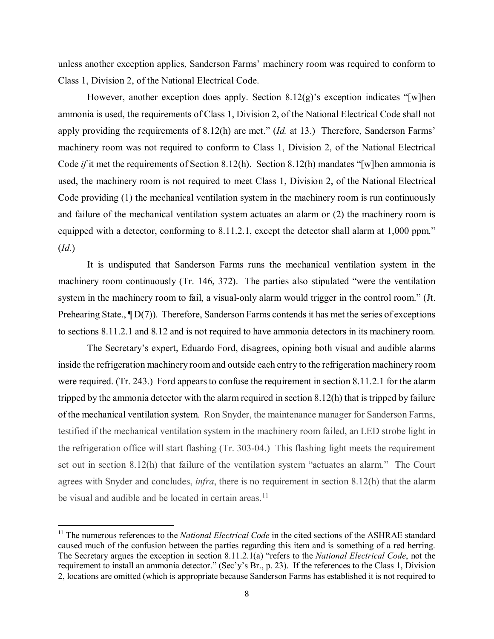unless another exception applies, Sanderson Farms' machinery room was required to conform to Class 1, Division 2, of the National Electrical Code.

 However, another exception does apply. Section 8.12(g)'s exception indicates "[w]hen ammonia is used, the requirements of Class 1, Division 2, of the National Electrical Code shall not apply providing the requirements of 8.12(h) are met." (*Id.* at 13.) Therefore, Sanderson Farms' machinery room was not required to conform to Class 1, Division 2, of the National Electrical Code *if* it met the requirements of Section 8.12(h). Section 8.12(h) mandates "[w]hen ammonia is Code providing (1) the mechanical ventilation system in the machinery room is run continuously and failure of the mechanical ventilation system actuates an alarm or (2) the machinery room is equipped with a detector, conforming to 8.11.2.1, except the detector shall alarm at 1,000 ppm."  $(Id.)$  (*Id.*) It is undisputed that Sanderson Farms runs the mechanical ventilation system in the used, the machinery room is not required to meet Class 1, Division 2, of the National Electrical

 machinery room continuously (Tr. 146, 372). The parties also stipulated "were the ventilation Prehearing State.,  $\P D(7)$ ). Therefore, Sanderson Farms contends it has met the series of exceptions to sections 8.11.2.1 and 8.12 and is not required to have ammonia detectors in its machinery room. system in the machinery room to fail, a visual-only alarm would trigger in the control room." (Jt.

 were required. (Tr. 243.) Ford appears to confuse the requirement in section 8.11.2.1 for the alarm tripped by the ammonia detector with the alarm required in section 8.12(h) that is tripped by failure of the mechanical ventilation system. Ron Snyder, the maintenance manager for Sanderson Farms, testified if the mechanical ventilation system in the machinery room failed, an LED strobe light in the refrigeration office will start flashing (Tr. 303-04.) This flashing light meets the requirement set out in section 8.12(h) that failure of the ventilation system "actuates an alarm." The Court agrees with Snyder and concludes, *infra*, there is no requirement in section 8.12(h) that the alarm The Secretary's expert, Eduardo Ford, disagrees, opining both visual and audible alarms inside the refrigeration machinery room and outside each entry to the refrigeration machinery room be visual and audible and be located in certain areas.<sup>[11](#page-7-0)</sup>

l

<span id="page-7-0"></span><sup>&</sup>lt;sup>11</sup> The numerous references to the *National Electrical Code* in the cited sections of the ASHRAE standard caused much of the confusion between the parties regarding this item and is something of a red herring. caused much of the confusion between the parties regarding this item and is something of a red herring. The Secretary argues the exception in section 8.11.2.1(a) "refers to the *National Electrical Code*, not the requirement to install an ammonia detector." (Sec'y's Br., p. 23). If the references to the Class 1, Division 2, locations are omitted (which is appropriate because Sanderson Farms has established it is not required to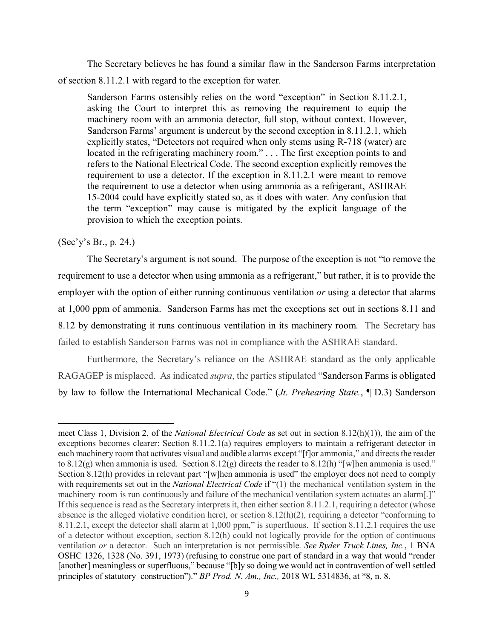The Secretary believes he has found a similar flaw in the Sanderson Farms interpretation of section 8.11.2.1 with regard to the exception for water.

 asking the Court to interpret this as removing the requirement to equip the located in the refrigerating machinery room." . . . The first exception points to and requirement to use a detector. If the exception in 8.11.2.1 were meant to remove Sanderson Farms ostensibly relies on the word "exception" in Section 8.11.2.1, machinery room with an ammonia detector, full stop, without context. However, Sanderson Farms' argument is undercut by the second exception in 8.11.2.1, which explicitly states, "Detectors not required when only stems using R-718 (water) are refers to the National Electrical Code. The second exception explicitly removes the the requirement to use a detector when using ammonia as a refrigerant, ASHRAE 15-2004 could have explicitly stated so, as it does with water. Any confusion that the term "exception" may cause is mitigated by the explicit language of the provision to which the exception points.

# (Sec'y's Br., p. 24.)

 $\overline{\phantom{a}}$ 

 The Secretary's argument is not sound. The purpose of the exception is not "to remove the employer with the option of either running continuous ventilation *or* using a detector that alarms 8.12 by demonstrating it runs continuous ventilation in its machinery room. The Secretary has failed to establish Sanderson Farms was not in compliance with the ASHRAE standard. requirement to use a detector when using ammonia as a refrigerant," but rather, it is to provide the at 1,000 ppm of ammonia. Sanderson Farms has met the exceptions set out in sections 8.11 and

 RAGAGEP is misplaced. As indicated *supra*, the parties stipulated "Sanderson Farms is obligated Furthermore, the Secretary's reliance on the ASHRAE standard as the only applicable by law to follow the International Mechanical Code." (*Jt. Prehearing State.*, ¶ D.3) Sanderson

 exceptions becomes clearer: Section 8.11.2.1(a) requires employers to maintain a refrigerant detector in to 8.12(g) when ammonia is used. Section 8.12(g) directs the reader to 8.12(h) "[w]hen ammonia is used." with requirements set out in the *National Electrical Code* if "(1) the mechanical ventilation system in the machinery room is run continuously and failure of the mechanical ventilation system actuates an alarm[.]" of a detector without exception, section 8.12(h) could not logically provide for the option of continuous principles of statutory construction")." *BP Prod. N. Am., Inc.,* 2018 WL 5314836, at \*8, n. 8. meet Class 1, Division 2, of the *National Electrical Code* as set out in section 8.12(h)(1)), the aim of the each machinery room that activates visual and audible alarms except "[f]or ammonia," and directs the reader Section 8.12(h) provides in relevant part "[w]hen ammonia is used" the employer does not need to comply If this sequence is read as the Secretary interprets it, then either section 8.11.2.1, requiring a detector (whose absence is the alleged violative condition here), or section 8.12(h)(2), requiring a detector "conforming to 8.11.2.1, except the detector shall alarm at 1,000 ppm," is superfluous. If section 8.11.2.1 requires the use ventilation *or* a detector. Such an interpretation is not permissible. *See Ryder Truck Lines, Inc.*, 1 BNA OSHC 1326, 1328 (No. 391, 1973) (refusing to construe one part of standard in a way that would "render [another] meaningless or superfluous," because "[b]y so doing we would act in contravention of well settled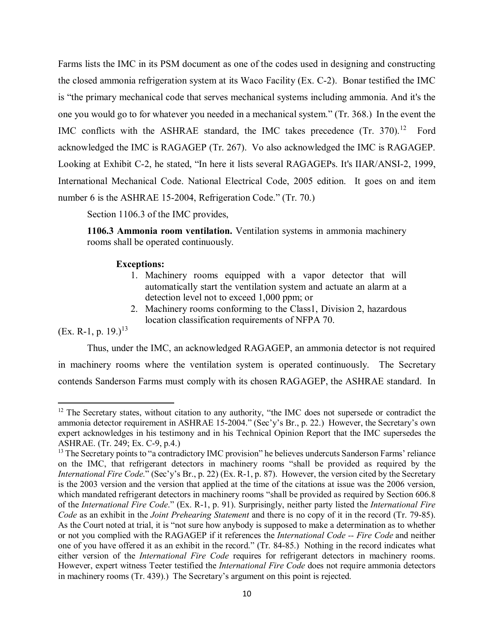Farms lists the IMC in its PSM document as one of the codes used in designing and constructing the closed ammonia refrigeration system at its Waco Facility (Ex. C-2). Bonar testified the IMC is "the primary mechanical code that serves mechanical systems including ammonia. And it's the one you would go to for whatever you needed in a mechanical system." (Tr. 368.) In the event the IMC conflicts with the ASHRAE standard, the IMC takes precedence (Tr. 370).<sup>12</sup> Ford acknowledged the IMC is RAGAGEP (Tr. 267). Vo also acknowledged the IMC is RAGAGEP. Looking at Exhibit C-2, he stated, "In here it lists several RAGAGEPs. It's IIAR/ANSI-2, 1999, International Mechanical Code. National Electrical Code, 2005 edition. It goes on and item number 6 is the ASHRAE 15-2004, Refrigeration Code." (Tr. 70.)

Section 1106.3 of the IMC provides,

**1106.3 Ammonia room ventilation.** Ventilation systems in ammonia machinery rooms shall be operated continuously.

## **Exceptions:**

- 1. Machinery rooms equipped with a vapor detector that will detection level not to exceed 1,000 ppm; or automatically start the ventilation system and actuate an alarm at a
- 2. Machinery rooms conforming to the Class1, Division 2, hazardous location classification requirements of NFPA 70.

(Ex. R-1, p. 19.)<sup>13</sup>

 $\overline{\phantom{a}}$ 

 contends Sanderson Farms must comply with its chosen RAGAGEP, the ASHRAE standard. In Thus, under the IMC, an acknowledged RAGAGEP, an ammonia detector is not required in machinery rooms where the ventilation system is operated continuously. The Secretary

<span id="page-9-0"></span> ASHRAE. (Tr. 249; Ex. C-9, p.4.) <sup>12</sup> The Secretary states, without citation to any authority, "the IMC does not supersede or contradict the ammonia detector requirement in ASHRAE 15-2004." (Sec'y's Br., p. 22.) However, the Secretary's own expert acknowledges in his testimony and in his Technical Opinion Report that the IMC supersedes the

<span id="page-9-1"></span> on the IMC, that refrigerant detectors in machinery rooms "shall be provided as required by the *International Fire Code*." (Sec'y's Br., p. 22) (Ex. R-1, p. 87). However, the version cited by the Secretary of the *International Fire Code*." (Ex. R-1, p. 91). Surprisingly, neither party listed the *International Fire Code* as an exhibit in the *Joint Prehearing Statement* and there is no copy of it in the record (Tr. 79-85). As the Court noted at trial, it is "not sure how anybody is supposed to make a determination as to whether either version of the *International Fire Code* requires for refrigerant detectors in machinery rooms. in machinery rooms (Tr. 439).) The Secretary's argument on this point is rejected. <sup>13</sup> The Secretary points to "a contradictory IMC provision" he believes undercuts Sanderson Farms' reliance is the 2003 version and the version that applied at the time of the citations at issue was the 2006 version, which mandated refrigerant detectors in machinery rooms "shall be provided as required by Section 606.8 or not you complied with the RAGAGEP if it references the *International Code -- Fire Code* and neither one of you have offered it as an exhibit in the record." (Tr. 84-85.) Nothing in the record indicates what However, expert witness Teeter testified the *International Fire Code* does not require ammonia detectors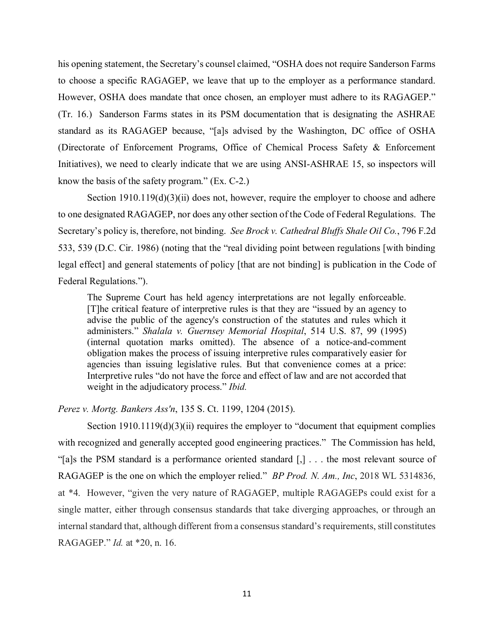to choose a specific RAGAGEP, we leave that up to the employer as a performance standard. (Tr. 16.) Sanderson Farms states in its PSM documentation that is designating the ASHRAE Initiatives), we need to clearly indicate that we are using ANSI-ASHRAE 15, so inspectors will his opening statement, the Secretary's counsel claimed, "OSHA does not require Sanderson Farms However, OSHA does mandate that once chosen, an employer must adhere to its RAGAGEP." standard as its RAGAGEP because, "[a]s advised by the Washington, DC office of OSHA (Directorate of Enforcement Programs, Office of Chemical Process Safety & Enforcement know the basis of the safety program." (Ex. C-2.)

 to one designated RAGAGEP, nor does any other section of the Code of Federal Regulations. The Secretary's policy is, therefore, not binding. *See Brock v. Cathedral Bluffs Shale Oil Co.*, 796 F.2d Section 1910.119(d)(3)(ii) does not, however, require the employer to choose and adhere 533, 539 (D.C. Cir. 1986) (noting that the "real dividing point between regulations [with binding legal effect] and general statements of policy [that are not binding] is publication in the Code of Federal Regulations.").

 [T]he critical feature of interpretive rules is that they are "issued by an agency to advise the public of the agency's construction of the statutes and rules which it obligation makes the process of issuing interpretive rules comparatively easier for agencies than issuing legislative rules. But that convenience comes at a price: Interpretive rules "do not have the force and effect of law and are not accorded that The Supreme Court has held agency interpretations are not legally enforceable. administers." *Shalala v. Guernsey Memorial Hospital*, 514 U.S. 87, 99 (1995) (internal quotation marks omitted). The absence of a notice-and-comment weight in the adjudicatory process." *Ibid.* 

*Perez v. Mortg. Bankers Ass'n*, 135 S. Ct. 1199, 1204 (2015).

 with recognized and generally accepted good engineering practices." The Commission has held, "[a]s the PSM standard is a performance oriented standard [,] . . . the most relevant source of RAGAGEP is the one on which the employer relied." *BP Prod. N. Am., Inc*, 2018 WL 5314836, at \*4. However, "given the very nature of RAGAGEP, multiple RAGAGEPs could exist for a single matter, either through consensus standards that take diverging approaches, or through an RAGAGEP." *Id.* at \*20, n. 16. Section  $1910.1119(d)(3)(ii)$  requires the employer to "document that equipment complies internal standard that, although different from a consensus standard's requirements, still constitutes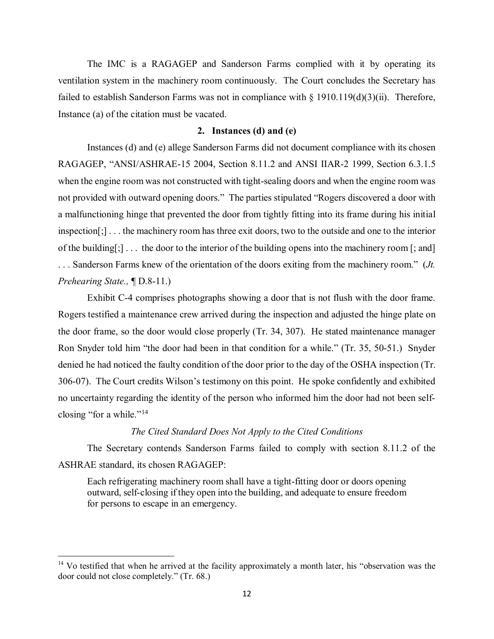The IMC is a RAGAGEP and Sanderson Farms complied with it by operating its ventilation system in the machinery room continuously. The Court concludes the Secretary has failed to establish Sanderson Farms was not in compliance with  $\S 1910.119(d)(3)(ii)$ . Therefore, Instance (a) of the citation must be vacated.

#### **2. Instances (d) and (e)**

 Instances (d) and (e) allege Sanderson Farms did not document compliance with its chosen not provided with outward opening doors." The parties stipulated "Rogers discovered a door with a malfunctioning hinge that prevented the door from tightly fitting into its frame during his initial inspection[;] . . . the machinery room has three exit doors, two to the outside and one to the interior of the building[;] . . . the door to the interior of the building opens into the machinery room [; and] Prehearing State.,  $\P D.8-11$ .) *Prehearing State.,*  $\P$  D.8-11.)<br>Exhibit C-4 comprises photographs showing a door that is not flush with the door frame. RAGAGEP, "ANSI/ASHRAE-15 2004, Section 8.11.2 and ANSI IIAR-2 1999, Section 6.3.1.5 when the engine room was not constructed with tight-sealing doors and when the engine room was . . . Sanderson Farms knew of the orientation of the doors exiting from the machinery room." (*Jt.* 

 the door frame, so the door would close properly (Tr. 34, 307). He stated maintenance manager Ron Snyder told him "the door had been in that condition for a while." (Tr. 35, 50-51.) Snyder denied he had noticed the faulty condition of the door prior to the day of the OSHA inspection (Tr. 306-07). The Court credits Wilson's testimony on this point. He spoke confidently and exhibited Rogers testified a maintenance crew arrived during the inspection and adjusted the hinge plate on no uncertainty regarding the identity of the person who informed him the door had not been selfclosing "for a while."<sup>14</sup>

# *The Cited Standard Does Not Apply to the Cited Conditions*

 The Secretary contends Sanderson Farms failed to comply with section 8.11.2 of the ASHRAE standard, its chosen RAGAGEP:

Each refrigerating machinery room shall have a tight-fitting door or doors opening outward, self-closing if they open into the building, and adequate to ensure freedom for persons to escape in an emergency.

 $\overline{\phantom{a}}$ 

<span id="page-11-0"></span> $14$  Vo testified that when he arrived at the facility approximately a month later, his "observation was the door could not close completely." (Tr. 68.)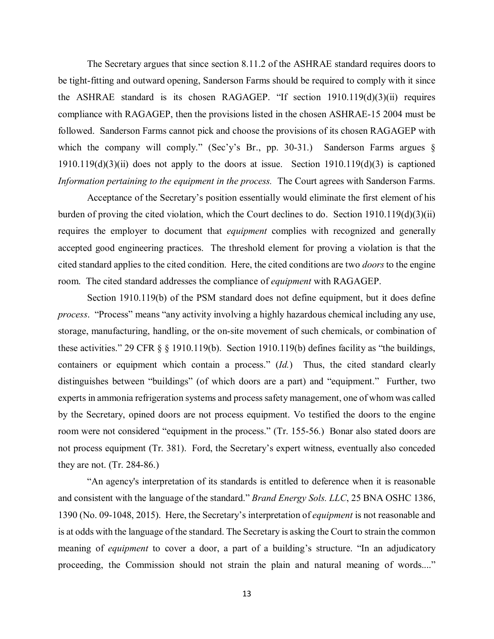The Secretary argues that since section 8.11.2 of the ASHRAE standard requires doors to be tight-fitting and outward opening, Sanderson Farms should be required to comply with it since compliance with RAGAGEP, then the provisions listed in the chosen ASHRAE-15 2004 must be which the company will comply." (Sec'y's Br., pp. 30-31.) Sanderson Farms argues § *Information pertaining to the equipment in the process.* The Court agrees with Sanderson Farms. the ASHRAE standard is its chosen RAGAGEP. "If section 1910.119(d)(3)(ii) requires followed. Sanderson Farms cannot pick and choose the provisions of its chosen RAGAGEP with  $1910.119(d)(3)(ii)$  does not apply to the doors at issue. Section  $1910.119(d)(3)$  is captioned

 Acceptance of the Secretary's position essentially would eliminate the first element of his requires the employer to document that *equipment* complies with recognized and generally accepted good engineering practices. The threshold element for proving a violation is that the cited standard applies to the cited condition. Here, the cited conditions are two *doors* to the engine room. The cited standard addresses the compliance of *equipment* with RAGAGEP. burden of proving the cited violation, which the Court declines to do. Section 1910.119(d)(3)(ii)

 these activities." 29 CFR § § 1910.119(b). Section 1910.119(b) defines facility as "the buildings, distinguishes between "buildings" (of which doors are a part) and "equipment." Further, two not process equipment (Tr. 381). Ford, the Secretary's expert witness, eventually also conceded Section 1910.119(b) of the PSM standard does not define equipment, but it does define *process*. "Process" means "any activity involving a highly hazardous chemical including any use, storage, manufacturing, handling, or the on-site movement of such chemicals, or combination of containers or equipment which contain a process." (*Id.*) Thus, the cited standard clearly experts in ammonia refrigeration systems and process safety management, one of whom was called by the Secretary, opined doors are not process equipment. Vo testified the doors to the engine room were not considered "equipment in the process." (Tr. 155-56.) Bonar also stated doors are they are not. (Tr. 284-86.)

 "An agency's interpretation of its standards is entitled to deference when it is reasonable is at odds with the language of the standard. The Secretary is asking the Court to strain the common and consistent with the language of the standard." *Brand Energy Sols. LLC*, 25 BNA OSHC 1386, 1390 (No. 09-1048, 2015). Here, the Secretary's interpretation of *equipment* is not reasonable and meaning of *equipment* to cover a door, a part of a building's structure. "In an adjudicatory proceeding, the Commission should not strain the plain and natural meaning of words...."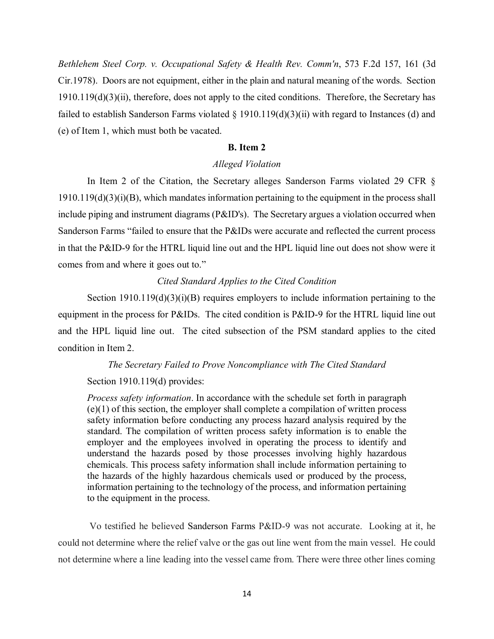Cir.1978). Doors are not equipment, either in the plain and natural meaning of the words. Section  $1910.119(d)(3)(ii)$ , therefore, does not apply to the cited conditions. Therefore, the Secretary has failed to establish Sanderson Farms violated § 1910.119(d)(3)(ii) with regard to Instances (d) and *Bethlehem Steel Corp. v. Occupational Safety & Health Rev. Comm'n*, 573 F.2d 157, 161 (3d (e) of Item 1, which must both be vacated.

# **B. Item 2**

# *Alleged Violation*

 In Item 2 of the Citation, the Secretary alleges Sanderson Farms violated 29 CFR § Sanderson Farms "failed to ensure that the P&IDs were accurate and reflected the current process in that the P&ID-9 for the HTRL liquid line out and the HPL liquid line out does not show were it comes from and where it goes out to."  $1910.119(d)(3)(i)(B)$ , which mandates information pertaining to the equipment in the process shall include piping and instrument diagrams (P&ID's). The Secretary argues a violation occurred when

# *Cited Standard Applies to the Cited Condition*

 equipment in the process for P&IDs. The cited condition is P&ID-9 for the HTRL liquid line out and the HPL liquid line out. The cited subsection of the PSM standard applies to the cited Section  $1910.119(d)(3)(i)(B)$  requires employers to include information pertaining to the condition in Item 2.

#### *The Secretary Failed to Prove Noncompliance with The Cited Standard*

#### Section 1910.119(d) provides:

 standard. The compilation of written process safety information is to enable the employer and the employees involved in operating the process to identify and *Process safety information*. In accordance with the schedule set forth in paragraph (e)(1) of this section, the employer shall complete a compilation of written process safety information before conducting any process hazard analysis required by the understand the hazards posed by those processes involving highly hazardous chemicals. This process safety information shall include information pertaining to the hazards of the highly hazardous chemicals used or produced by the process, information pertaining to the technology of the process, and information pertaining to the equipment in the process.

 could not determine where the relief valve or the gas out line went from the main vessel. He could not determine where a line leading into the vessel came from. There were three other lines coming Vo testified he believed Sanderson Farms P&ID-9 was not accurate. Looking at it, he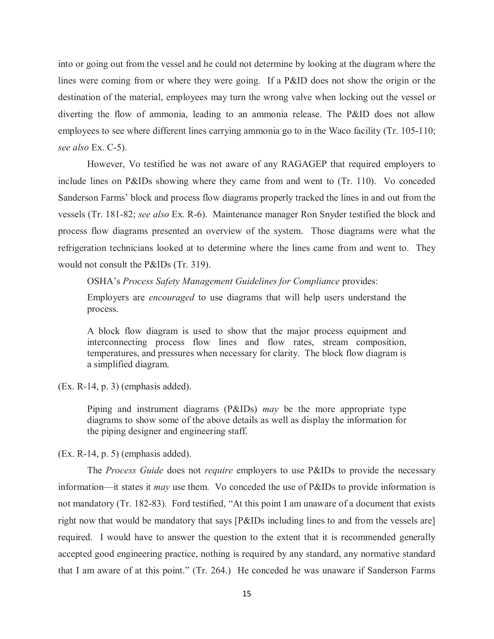*see also* Ex. C-5). into or going out from the vessel and he could not determine by looking at the diagram where the lines were coming from or where they were going. If a P&ID does not show the origin or the destination of the material, employees may turn the wrong valve when locking out the vessel or diverting the flow of ammonia, leading to an ammonia release. The P&ID does not allow employees to see where different lines carrying ammonia go to in the Waco facility (Tr. 105-110;

 However, Vo testified he was not aware of any RAGAGEP that required employers to include lines on P&IDs showing where they came from and went to (Tr. 110). Vo conceded Sanderson Farms' block and process flow diagrams properly tracked the lines in and out from the process flow diagrams presented an overview of the system. Those diagrams were what the refrigeration technicians looked at to determine where the lines came from and went to. They would not consult the P&IDs (Tr. 319). vessels (Tr. 181-82; *see also* Ex. R-6). Maintenance manager Ron Snyder testified the block and

OSHA's *Process Safety Management Guidelines for Compliance* provides:

 Employers are *encouraged* to use diagrams that will help users understand the process.

 A block flow diagram is used to show that the major process equipment and interconnecting process flow lines and flow rates, stream composition, temperatures, and pressures when necessary for clarity. The block flow diagram is a simplified diagram.

(Ex. R-14, p. 3) (emphasis added).

 diagrams to show some of the above details as well as display the information for Piping and instrument diagrams (P&IDs) *may* be the more appropriate type the piping designer and engineering staff.

(Ex. R-14, p. 5) (emphasis added).

 information—it states it *may* use them. Vo conceded the use of P&IDs to provide information is not mandatory (Tr. 182-83). Ford testified, "At this point I am unaware of a document that exists right now that would be mandatory that says [P&IDs including lines to and from the vessels are] required. I would have to answer the question to the extent that it is recommended generally The *Process Guide* does not *require* employers to use P&IDs to provide the necessary accepted good engineering practice, nothing is required by any standard, any normative standard that I am aware of at this point." (Tr. 264.) He conceded he was unaware if Sanderson Farms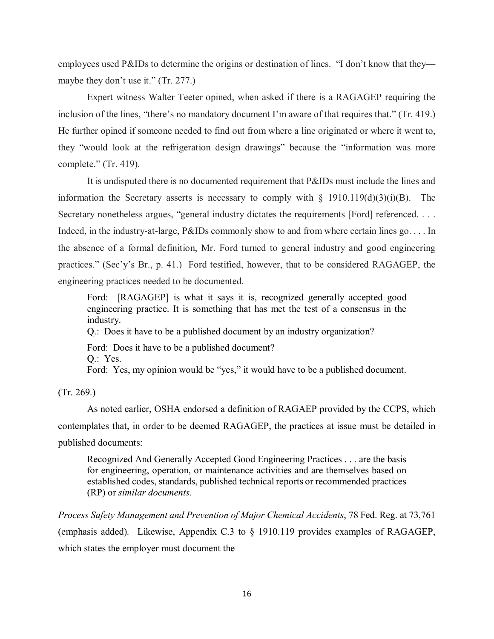employees used P&IDs to determine the origins or destination of lines. "I don't know that they— maybe they don't use it." (Tr. 277.)

 inclusion of the lines, "there's no mandatory document I'm aware of that requires that." (Tr. 419.) He further opined if someone needed to find out from where a line originated or where it went to, they "would look at the refrigeration design drawings" because the "information was more Expert witness Walter Teeter opined, when asked if there is a RAGAGEP requiring the complete." (Tr. 419).

 It is undisputed there is no documented requirement that P&IDs must include the lines and information the Secretary asserts is necessary to comply with  $\S$  1910.119(d)(3)(i)(B). The Secretary nonetheless argues, "general industry dictates the requirements [Ford] referenced. . . . practices." (Sec'y's Br., p. 41.) Ford testified, however, that to be considered RAGAGEP, the Indeed, in the industry-at-large, P&IDs commonly show to and from where certain lines go. . . . In the absence of a formal definition, Mr. Ford turned to general industry and good engineering engineering practices needed to be documented.

 Ford: [RAGAGEP] is what it says it is, recognized generally accepted good engineering practice. It is something that has met the test of a consensus in the industry.

Q.: Does it have to be a published document by an industry organization?

 Ford: Does it have to be a published document? Q.: Yes.

Ford: Yes, my opinion would be "yes," it would have to be a published document.

(Tr. 269.)

 contemplates that, in order to be deemed RAGAGEP, the practices at issue must be detailed in As noted earlier, OSHA endorsed a definition of RAGAEP provided by the CCPS, which published documents:

 for engineering, operation, or maintenance activities and are themselves based on established codes, standards, published technical reports or recommended practices Recognized And Generally Accepted Good Engineering Practices . . . are the basis (RP) or *similar documents*.

 (emphasis added)*.* Likewise, Appendix C.3 to § 1910.119 provides examples of RAGAGEP, *Process Safety Management and Prevention of Major Chemical Accidents*, 78 Fed. Reg. at 73,761 which states the employer must document the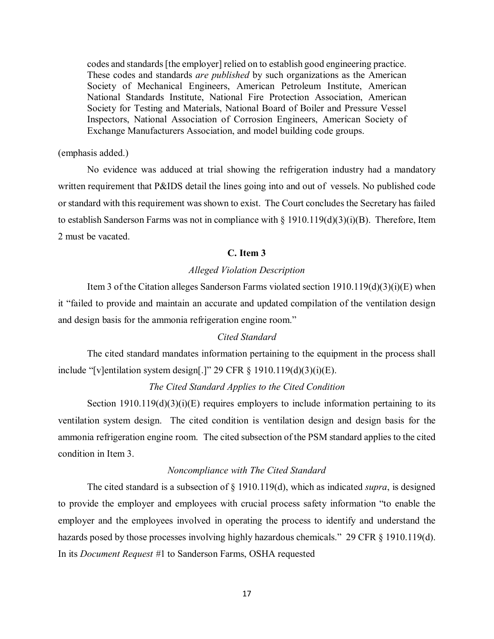codes and standards [the employer] relied on to establish good engineering practice. These codes and standards *are published* by such organizations as the American Society of Mechanical Engineers, American Petroleum Institute, American National Standards Institute, National Fire Protection Association, American Society for Testing and Materials, National Board of Boiler and Pressure Vessel Inspectors, National Association of Corrosion Engineers, American Society of Exchange Manufacturers Association, and model building code groups.

#### (emphasis added.)

 No evidence was adduced at trial showing the refrigeration industry had a mandatory written requirement that P&IDS detail the lines going into and out of vessels. No published code or standard with this requirement was shown to exist. The Court concludes the Secretary has failed to establish Sanderson Farms was not in compliance with § 1910.119(d)(3)(i)(B). Therefore, Item 2 must be vacated.

# **C. Item 3**

# *Alleged Violation Description*

 Item 3 of the Citation alleges Sanderson Farms violated section 1910.119(d)(3)(i)(E) when and design basis for the ammonia refrigeration engine room." it "failed to provide and maintain an accurate and updated compilation of the ventilation design

#### *Cited Standard*

 The cited standard mandates information pertaining to the equipment in the process shall include "[v]entilation system design[.]" 29 CFR  $\S$  1910.119(d)(3)(i)(E).

# *The Cited Standard Applies to the Cited Condition*

 ventilation system design. The cited condition is ventilation design and design basis for the ammonia refrigeration engine room. The cited subsection of the PSM standard applies to the cited Section  $1910.119(d)(3)(i)(E)$  requires employers to include information pertaining to its condition in Item 3.

#### *Noncompliance with The Cited Standard*

 employer and the employees involved in operating the process to identify and understand the hazards posed by those processes involving highly hazardous chemicals." 29 CFR § 1910.119(d). The cited standard is a subsection of § 1910.119(d), which as indicated *supra*, is designed to provide the employer and employees with crucial process safety information "to enable the In its *Document Request #*1 to Sanderson Farms, OSHA requested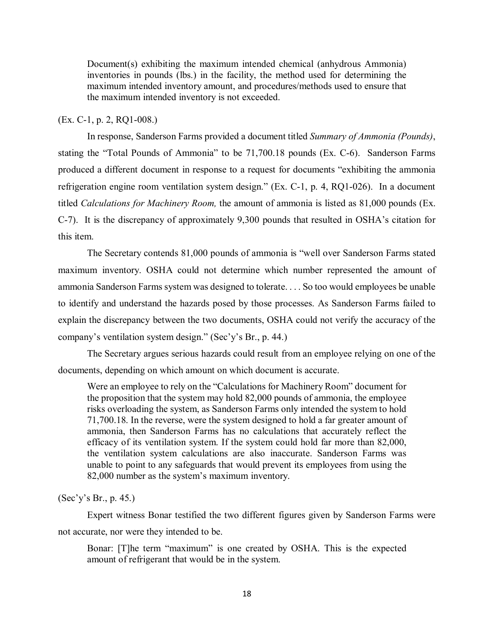Document(s) exhibiting the maximum intended chemical (anhydrous Ammonia) maximum intended inventory amount, and procedures/methods used to ensure that the maximum intended inventory is not exceeded. inventories in pounds (lbs.) in the facility, the method used for determining the

# (Ex. C-1, p. 2, RQ1-008.)

 stating the "Total Pounds of Ammonia" to be 71,700.18 pounds (Ex. C-6). Sanderson Farms refrigeration engine room ventilation system design." (Ex. C-1, p. 4, RQ1-026). In a document  titled *Calculations for Machinery Room,* the amount of ammonia is listed as 81,000 pounds (Ex. this item. In response, Sanderson Farms provided a document titled *Summary of Ammonia (Pounds)*, produced a different document in response to a request for documents "exhibiting the ammonia C-7). It is the discrepancy of approximately 9,300 pounds that resulted in OSHA's citation for

 The Secretary contends 81,000 pounds of ammonia is "well over Sanderson Farms stated to identify and understand the hazards posed by those processes. As Sanderson Farms failed to company's ventilation system design." (Sec'y's Br., p. 44.) maximum inventory. OSHA could not determine which number represented the amount of ammonia Sanderson Farms system was designed to tolerate. . . . So too would employees be unable explain the discrepancy between the two documents, OSHA could not verify the accuracy of the

 documents, depending on which amount on which document is accurate. The Secretary argues serious hazards could result from an employee relying on one of the

 Were an employee to rely on the "Calculations for Machinery Room" document for the proposition that the system may hold 82,000 pounds of ammonia, the employee ammonia, then Sanderson Farms has no calculations that accurately reflect the efficacy of its ventilation system. If the system could hold far more than 82,000, 82,000 number as the system's maximum inventory. risks overloading the system, as Sanderson Farms only intended the system to hold 71,700.18. In the reverse, were the system designed to hold a far greater amount of the ventilation system calculations are also inaccurate. Sanderson Farms was unable to point to any safeguards that would prevent its employees from using the

### (Sec'y's Br., p. 45.)

Expert witness Bonar testified the two different figures given by Sanderson Farms were not accurate, nor were they intended to be.

Bonar: [T]he term "maximum" is one created by OSHA. This is the expected amount of refrigerant that would be in the system.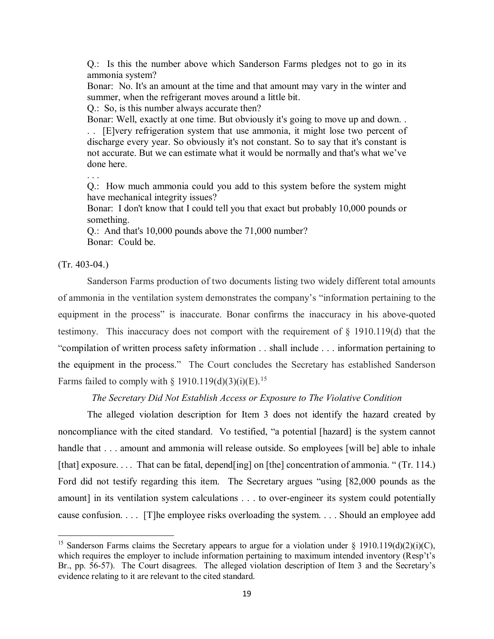Q.: Is this the number above which Sanderson Farms pledges not to go in its ammonia system?

 Bonar: No. It's an amount at the time and that amount may vary in the winter and summer, when the refrigerant moves around a little bit.

Q.: So, is this number always accurate then?

 Bonar: Well, exactly at one time. But obviously it's going to move up and down. . . . [E]very refrigeration system that use ammonia, it might lose two percent of discharge every year. So obviously it's not constant. So to say that it's constant is not accurate. But we can estimate what it would be normally and that's what we've done here.

. . .

 Q.: How much ammonia could you add to this system before the system might have mechanical integrity issues?

 Bonar: I don't know that I could tell you that exact but probably 10,000 pounds or something.

 Bonar: Could be. Q.: And that's 10,000 pounds above the 71,000 number?

## $(Tr. 403-04.)$

l

 equipment in the process" is inaccurate. Bonar confirms the inaccuracy in his above-quoted testimony. This inaccuracy does not comport with the requirement of § 1910.119(d) that the "compilation of written process safety information . . shall include . . . information pertaining to Sanderson Farms production of two documents listing two widely different total amounts of ammonia in the ventilation system demonstrates the company's "information pertaining to the the equipment in the process." The Court concludes the Secretary has established Sanderson Farms failed to comply with § 1910.119(d)(3)(i)(E).<sup>[15](#page-18-0)</sup>

#### *The Secretary Did Not Establish Access or Exposure to The Violative Condition*

 noncompliance with the cited standard. Vo testified, "a potential [hazard] is the system cannot [that] exposure. . . . That can be fatal, depend[ing] on [the] concentration of ammonia. " (Tr. 114.) Ford did not testify regarding this item. The Secretary argues "using [82,000 pounds as the amount] in its ventilation system calculations . . . to over-engineer its system could potentially cause confusion. . . . [T]he employee risks overloading the system. . . . Should an employee add The alleged violation description for Item 3 does not identify the hazard created by handle that . . . amount and ammonia will release outside. So employees [will be] able to inhale

<span id="page-18-0"></span> Br., pp. 56-57). The Court disagrees. The alleged violation description of Item 3 and the Secretary's <sup>15</sup> Sanderson Farms claims the Secretary appears to argue for a violation under § 1910.119(d)(2)(i)(C), which requires the employer to include information pertaining to maximum intended inventory (Resp't's evidence relating to it are relevant to the cited standard.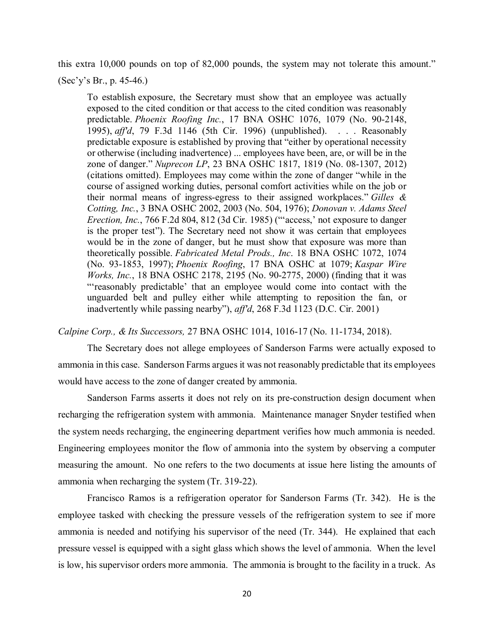this extra 10,000 pounds on top of 82,000 pounds, the system may not tolerate this amount."

 $(Sec'y's Br., p. 45-46.)$ 

 exposed to the cited condition or that access to the cited condition was reasonably predictable exposure is established by proving that "either by operational necessity or otherwise (including inadvertence) ... employees have been, are, or will be in the *Erection, Inc.*, 766 F.2d 804, 812 (3d Cir. 1985) ("'access,' not exposure to danger is the proper test"). The Secretary need not show it was certain that employees To establish exposure, the Secretary must show that an employee was actually predictable. *Phoenix Roofing Inc.*, 17 BNA OSHC 1076, 1079 (No. 90-2148, 1995), *aff'd*, 79 F.3d 1146 (5th Cir. 1996) (unpublished). . . . Reasonably zone of danger." *Nuprecon LP*, 23 BNA OSHC 1817, 1819 (No. 08-1307, 2012) (citations omitted). Employees may come within the zone of danger "while in the course of assigned working duties, personal comfort activities while on the job or their normal means of ingress-egress to their assigned workplaces." *Gilles & Cotting, Inc.*, 3 BNA OSHC 2002, 2003 (No. 504, 1976); *Donovan v. Adams Steel*  would be in the zone of danger, but he must show that exposure was more than theoretically possible. *Fabricated Metal Prods., Inc*. 18 BNA OSHC 1072, 1074 (No. 93-1853, 1997); *Phoenix Roofing*, 17 BNA OSHC at 1079; *Kaspar Wire Works, Inc.*, 18 BNA OSHC 2178, 2195 (No. 90-2775, 2000) (finding that it was "'reasonably predictable' that an employee would come into contact with the unguarded belt and pulley either while attempting to reposition the fan, or inadvertently while passing nearby"), *aff'd*, 268 F.3d 1123 (D.C. Cir. 2001)

*Calpine Corp., & Its Successors,* 27 BNA OSHC 1014, 1016-17 (No. 11-1734, 2018).

 ammonia in this case. Sanderson Farms argues it was not reasonably predictable that its employees would have access to the zone of danger created by ammonia. The Secretary does not allege employees of Sanderson Farms were actually exposed to

 Sanderson Farms asserts it does not rely on its pre-construction design document when the system needs recharging, the engineering department verifies how much ammonia is needed. Engineering employees monitor the flow of ammonia into the system by observing a computer measuring the amount. No one refers to the two documents at issue here listing the amounts of recharging the refrigeration system with ammonia. Maintenance manager Snyder testified when ammonia when recharging the system (Tr. 319-22).

 Francisco Ramos is a refrigeration operator for Sanderson Farms (Tr. 342). He is the employee tasked with checking the pressure vessels of the refrigeration system to see if more ammonia is needed and notifying his supervisor of the need (Tr. 344). He explained that each pressure vessel is equipped with a sight glass which shows the level of ammonia. When the level is low, his supervisor orders more ammonia. The ammonia is brought to the facility in a truck. As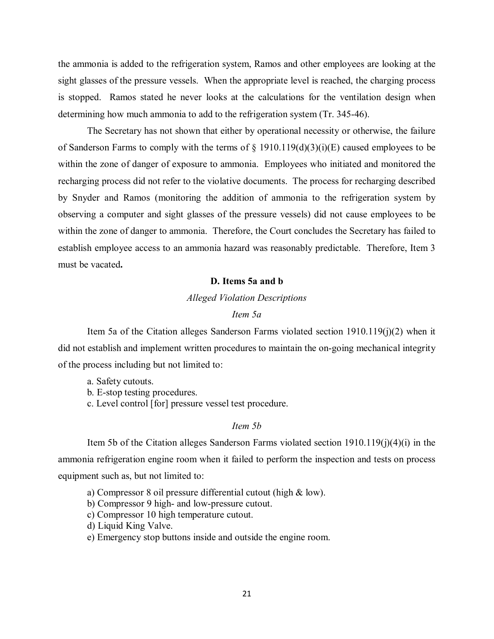is stopped. Ramos stated he never looks at the calculations for the ventilation design when determining how much ammonia to add to the refrigeration system (Tr. 345-46). the ammonia is added to the refrigeration system, Ramos and other employees are looking at the sight glasses of the pressure vessels. When the appropriate level is reached, the charging process

 within the zone of danger of exposure to ammonia. Employees who initiated and monitored the recharging process did not refer to the violative documents. The process for recharging described by Snyder and Ramos (monitoring the addition of ammonia to the refrigeration system by within the zone of danger to ammonia. Therefore, the Court concludes the Secretary has failed to establish employee access to an ammonia hazard was reasonably predictable. Therefore, Item 3 The Secretary has not shown that either by operational necessity or otherwise, the failure of Sanderson Farms to comply with the terms of  $\S$  1910.119(d)(3)(i)(E) caused employees to be observing a computer and sight glasses of the pressure vessels) did not cause employees to be must be vacated**.** 

## **D. Items 5a and b**

# *Alleged Violation Descriptions*

# *Item 5a*

Item 5a of the Citation alleges Sanderson Farms violated section 1910.119(j)(2) when it did not establish and implement written procedures to maintain the on-going mechanical integrity of the process including but not limited to:

a. Safety cutouts.

b. E-stop testing procedures.

c. Level control [for] pressure vessel test procedure.

# *Item 5b*

 Item 5b of the Citation alleges Sanderson Farms violated section 1910.119(j)(4)(i) in the ammonia refrigeration engine room when it failed to perform the inspection and tests on process equipment such as, but not limited to:

- a) Compressor 8 oil pressure differential cutout (high & low).
- b) Compressor 9 high- and low-pressure cutout.
- c) Compressor 10 high temperature cutout.
- d) Liquid King Valve.
- e) Emergency stop buttons inside and outside the engine room.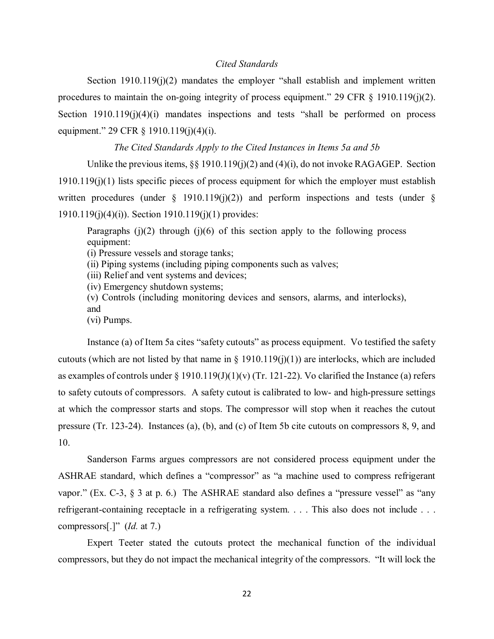#### *Cited Standards*

 Section 1910.119(j)(2) mandates the employer "shall establish and implement written procedures to maintain the on-going integrity of process equipment." 29 CFR  $\S$  1910.119(j)(2). procedures to maintain the on-going integrity of process equipment." 29 CFR § 1910.119(j)(2).<br>Section 1910.119(j)(4)(i) mandates inspections and tests "shall be performed on process equipment." 29 CFR § 1910.119(j)(4)(j).

#### *The Cited Standards Apply to the Cited Instances in Items 5a and 5b*

Unlike the previous items,  $\S\S 1910.119(j)(2)$  and  $(4)(i)$ , do not invoke RAGAGEP. Section 1910.119(j)(1) lists specific pieces of process equipment for which the employer must establish written procedures (under  $\S$  1910.119(j)(2)) and perform inspections and tests (under  $\S$ 1910.119(j)(4)(i)). Section 1910.119(j)(1) provides:

Paragraphs  $(j)(2)$  through  $(j)(6)$  of this section apply to the following process equipment:

(i) Pressure vessels and storage tanks;

(ii) Piping systems (including piping components such as valves;

(iii) Relief and vent systems and devices;

(iv) Emergency shutdown systems;

(v) Controls (including monitoring devices and sensors, alarms, and interlocks),

and

(vi) Pumps.

 to safety cutouts of compressors. A safety cutout is calibrated to low- and high-pressure settings at which the compressor starts and stops. The compressor will stop when it reaches the cutout 10. Instance (a) of Item 5a cites "safety cutouts" as process equipment. Vo testified the safety cutouts (which are not listed by that name in  $\S$  1910.119(j)(1)) are interlocks, which are included as examples of controls under  $\S$  1910.119(J)(1)(v) (Tr. 121-22). Vo clarified the Instance (a) refers pressure (Tr. 123-24). Instances (a), (b), and (c) of Item 5b cite cutouts on compressors 8, 9, and

 compressors[.]" (*Id.* at 7.) Sanderson Farms argues compressors are not considered process equipment under the ASHRAE standard, which defines a "compressor" as "a machine used to compress refrigerant vapor." (Ex. C-3, § 3 at p. 6.) The ASHRAE standard also defines a "pressure vessel" as "any refrigerant-containing receptacle in a refrigerating system. . . . This also does not include . . .

 Expert Teeter stated the cutouts protect the mechanical function of the individual compressors, but they do not impact the mechanical integrity of the compressors. "It will lock the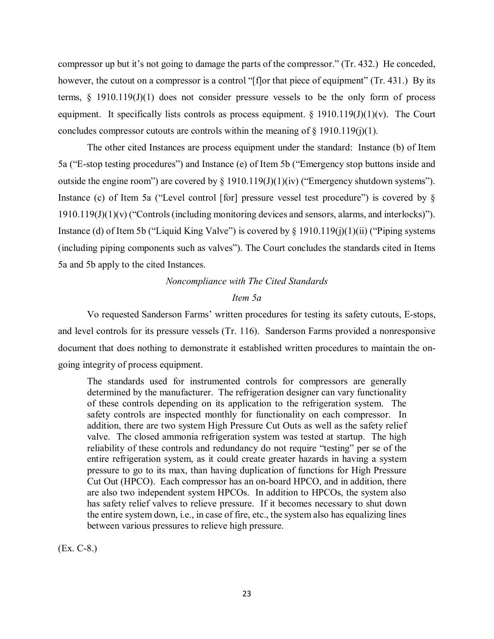compressor up but it's not going to damage the parts of the compressor." (Tr. 432.) He conceded, however, the cutout on a compressor is a control "[f]or that piece of equipment" (Tr. 431.) By its equipment. It specifically lists controls as process equipment.  $\S$  1910.119(J)(1)(v). The Court concludes compressor cutouts are controls within the meaning of  $\S$  1910.119(j)(1). concludes compressor cutouts are controls within the meaning of § 1910.119(j)(1). The other cited Instances are process equipment under the standard: Instance (b) of Item terms,  $\S$  1910.119(J)(1) does not consider pressure vessels to be the only form of process

outside the engine room") are covered by  $\S 1910.119(J)(1)(iv)$  ("Emergency shutdown systems"). outside the engine room") are covered by § 1910.119(J)(1)(iv) ("Emergency shutdown systems").<br>Instance (c) of Item 5a ("Level control [for] pressure vessel test procedure") is covered by §  $1910.119(J)(1)(v)$  ("Controls (including monitoring devices and sensors, alarms, and interlocks)"). 5a ("E-stop testing procedures") and Instance (e) of Item 5b ("Emergency stop buttons inside and Instance (d) of Item 5b ("Liquid King Valve") is covered by § 1910.119(j)(1)(ii) ("Piping systems (including piping components such as valves"). The Court concludes the standards cited in Items 5a and 5b apply to the cited Instances.

# *Noncompliance with The Cited Standards Item 5a*

 Vo requested Sanderson Farms' written procedures for testing its safety cutouts, E-stops, and level controls for its pressure vessels (Tr. 116). Sanderson Farms provided a nonresponsive document that does nothing to demonstrate it established written procedures to maintain the ongoing integrity of process equipment.

 safety controls are inspected monthly for functionality on each compressor. In valve. The closed ammonia refrigeration system was tested at startup. The high reliability of these controls and redundancy do not require "testing" per se of the pressure to go to its max, than having duplication of functions for High Pressure Cut Out (HPCO). Each compressor has an on-board HPCO, and in addition, there has safety relief valves to relieve pressure. If it becomes necessary to shut down the entire system down, i.e., in case of fire, etc., the system also has equalizing lines The standards used for instrumented controls for compressors are generally determined by the manufacturer. The refrigeration designer can vary functionality of these controls depending on its application to the refrigeration system. The addition, there are two system High Pressure Cut Outs as well as the safety relief entire refrigeration system, as it could create greater hazards in having a system are also two independent system HPCOs. In addition to HPCOs, the system also between various pressures to relieve high pressure.

(Ex. C-8.)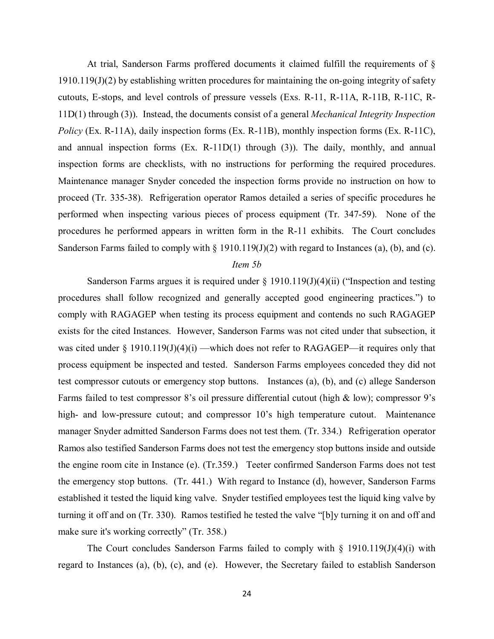11D(1) through (3)). Instead, the documents consist of a general *Mechanical Integrity Inspection Policy* (Ex. R-11A), daily inspection forms (Ex. R-11B), monthly inspection forms (Ex. R-11C), and annual inspection forms (Ex. R-11D(1) through (3)). The daily, monthly, and annual inspection forms are checklists, with no instructions for performing the required procedures. inspection forms are checklists, with no instructions for performing the required procedures. Maintenance manager Snyder conceded the inspection forms provide no instruction on how to performed when inspecting various pieces of process equipment (Tr. 347-59). None of the procedures he performed appears in written form in the R-11 exhibits. The Court concludes At trial, Sanderson Farms proffered documents it claimed fulfill the requirements of § 1910.119(J)(2) by establishing written procedures for maintaining the on-going integrity of safety cutouts, E-stops, and level controls of pressure vessels (Exs. R-11, R-11A, R-11B, R-11C, Rproceed (Tr. 335-38). Refrigeration operator Ramos detailed a series of specific procedures he Sanderson Farms failed to comply with § 1910.119(J)(2) with regard to Instances (a), (b), and (c).

#### *Item 5b*

 exists for the cited Instances. However, Sanderson Farms was not cited under that subsection, it process equipment be inspected and tested. Sanderson Farms employees conceded they did not test compressor cutouts or emergency stop buttons. Instances (a), (b), and (c) allege Sanderson Farms failed to test compressor 8's oil pressure differential cutout (high & low); compressor 9's manager Snyder admitted Sanderson Farms does not test them. (Tr. 334.) Refrigeration operator the engine room cite in Instance (e). (Tr.359.) Teeter confirmed Sanderson Farms does not test the emergency stop buttons. (Tr. 441.) With regard to Instance (d), however, Sanderson Farms established it tested the liquid king valve. Snyder testified employees test the liquid king valve by Sanderson Farms argues it is required under  $\S 1910.119(J)(4)(ii)$  ("Inspection and testing procedures shall follow recognized and generally accepted good engineering practices.") to comply with RAGAGEP when testing its process equipment and contends no such RAGAGEP was cited under § 1910.119(J)(4)(i) —which does not refer to RAGAGEP—it requires only that high- and low-pressure cutout; and compressor 10's high temperature cutout. Maintenance Ramos also testified Sanderson Farms does not test the emergency stop buttons inside and outside turning it off and on (Tr. 330). Ramos testified he tested the valve "[b]y turning it on and off and make sure it's working correctly" (Tr. 358.)

 regard to Instances (a), (b), (c), and (e). However, the Secretary failed to establish Sanderson The Court concludes Sanderson Farms failed to comply with  $\S$  1910.119(J)(4)(i) with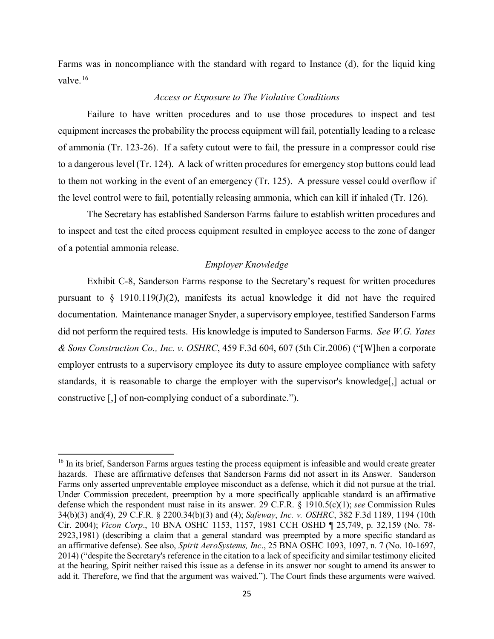Farms was in noncompliance with the standard with regard to Instance (d), for the liquid king valve.<sup>16</sup>

# *Access or Exposure to The Violative Conditions*

 Failure to have written procedures and to use those procedures to inspect and test to a dangerous level (Tr. 124). A lack of written procedures for emergency stop buttons could lead to them not working in the event of an emergency (Tr. 125). A pressure vessel could overflow if the level control were to fail, potentially releasing ammonia, which can kill if inhaled (Tr. 126). The Secretary has established Sanderson Farms failure to establish written procedures and equipment increases the probability the process equipment will fail, potentially leading to a release of ammonia (Tr. 123-26). If a safety cutout were to fail, the pressure in a compressor could rise

to inspect and test the cited process equipment resulted in employee access to the zone of danger of a potential ammonia release.

# *Employer Knowledge*

 did not perform the required tests. His knowledge is imputed to Sanderson Farms. *See W.G. Yates*  Exhibit C-8, Sanderson Farms response to the Secretary's request for written procedures pursuant to  $\S$  1910.119(J)(2), manifests its actual knowledge it did not have the required documentation. Maintenance manager Snyder, a supervisory employee, testified Sanderson Farms *& Sons Construction Co., Inc. v. OSHRC*, 459 F.3d 604, 607 (5th Cir.2006) ("[W]hen a corporate employer entrusts to a supervisory employee its duty to assure employee compliance with safety standards, it is reasonable to charge the employer with the supervisor's knowledge[,] actual or constructive [,] of non-complying conduct of a subordinate.").

 $\overline{\phantom{a}}$ 

<span id="page-24-0"></span> hazards. These are affirmative defenses that Sanderson Farms did not assert in its Answer. Sanderson Farms only asserted unpreventable employee misconduct as a defense, which it did not pursue at the trial. defense which the respondent must raise in its answer. 29 C.F.R. § 1910.5(c)(1); *see* Commission Rules 2014) ("despite the Secretary's reference in the citation to a lack of specificity and similar testimony elicited <sup>16</sup> In its brief, Sanderson Farms argues testing the process equipment is infeasible and would create greater Under Commission precedent, preemption by a more specifically applicable standard is an affirmative 34(b)(3) and(4), 29 C.F.R. § 2200.34(b)(3) and (4); *Safeway*, *Inc. v. OSHRC*, 382 F.3d 1189, 1194 (10th Cir. 2004); *Vicon Corp*., 10 BNA OSHC 1153, 1157, 1981 CCH OSHD ¶ 25,749, p. 32,159 (No. 78- 2923,1981) (describing a claim that a general standard was preempted by a more specific standard as an affirmative defense). See also, *Spirit AeroSystems, Inc*., 25 BNA OSHC 1093, 1097, n. 7 (No. 10-1697, at the hearing, Spirit neither raised this issue as a defense in its answer nor sought to amend its answer to add it. Therefore, we find that the argument was waived."). The Court finds these arguments were waived.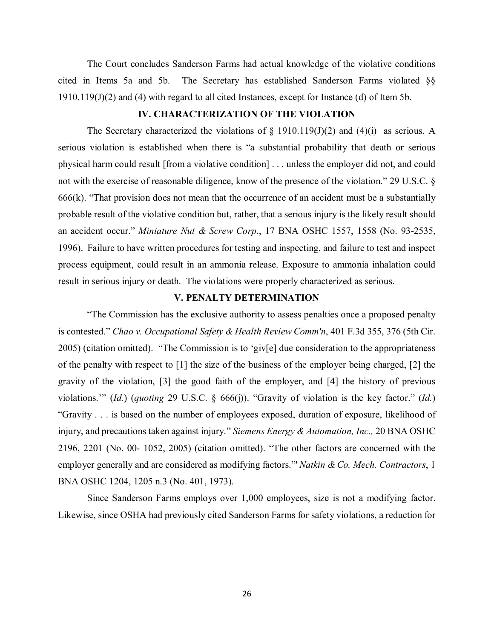cited in Items 5a and 5b. The Secretary has established Sanderson Farms violated §§ The Court concludes Sanderson Farms had actual knowledge of the violative conditions 1910.119(J)(2) and (4) with regard to all cited Instances, except for Instance (d) of Item 5b.

## **IV. CHARACTERIZATION OF THE VIOLATION**

The Secretary characterized the violations of  $\S$  1910.119(J)(2) and (4)(i) as serious. A probable result of the violative condition but, rather, that a serious injury is the likely result should 1996). Failure to have written procedures for testing and inspecting, and failure to test and inspect process equipment, could result in an ammonia release. Exposure to ammonia inhalation could result in serious injury or death. The violations were properly characterized as serious. serious violation is established when there is "a substantial probability that death or serious physical harm could result [from a violative condition] . . . unless the employer did not, and could not with the exercise of reasonable diligence, know of the presence of the violation." 29 U.S.C. §  $666(k)$ . "That provision does not mean that the occurrence of an accident must be a substantially an accident occur." *Miniature Nut & Screw Corp*., 17 BNA OSHC 1557, 1558 (No. 93-2535,

# **V. PENALTY DETERMINATION**

 2005) (citation omitted). "The Commission is to 'giv[e] due consideration to the appropriateness of the penalty with respect to [1] the size of the business of the employer being charged, [2] the violations.'" (*Id.*) (*quoting* 29 U.S.C. § 666(j)). "Gravity of violation is the key factor." (*Id.*) "Gravity . . . is based on the number of employees exposed, duration of exposure, likelihood of injury, and precautions taken against injury." *Siemens Energy & Automation, Inc.,* 20 BNA OSHC "The Commission has the exclusive authority to assess penalties once a proposed penalty is contested." *Chao v. Occupational Safety & Health Review Comm'n*, 401 F.3d 355, 376 (5th Cir. gravity of the violation, [3] the good faith of the employer, and [4] the history of previous 2196, 2201 (No. 00- 1052, 2005) (citation omitted). "The other factors are concerned with the employer generally and are considered as modifying factors."' *Natkin & Co. Mech. Contractors*, 1 BNA OSHC 1204, 1205 n.3 (No. 401, 1973).

Since Sanderson Farms employs over 1,000 employees, size is not a modifying factor. Likewise, since OSHA had previously cited Sanderson Farms for safety violations, a reduction for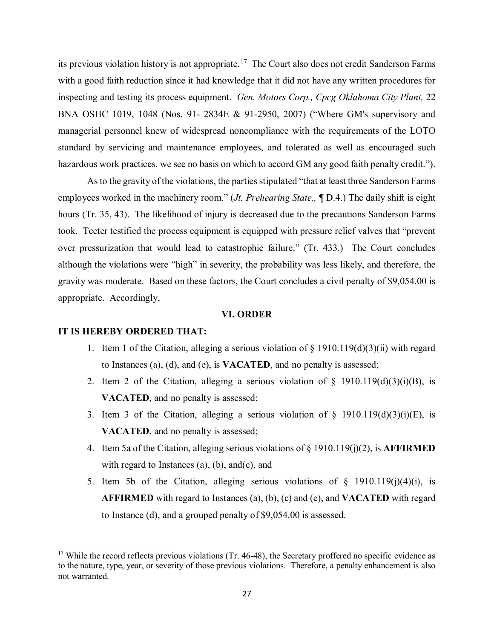its previous violation history is not appropriate.<sup>[17](#page-26-0)</sup> The Court also does not credit Sanderson Farms with a good faith reduction since it had knowledge that it did not have any written procedures for inspecting and testing its process equipment. *Gen. Motors Corp., Cpcg Oklahoma City Plant,* 22 BNA OSHC 1019, 1048 (Nos. 91- 2834E & 91-2950, 2007) ("Where GM's supervisory and managerial personnel knew of widespread noncompliance with the requirements of the LOTO standard by servicing and maintenance employees, and tolerated as well as encouraged such hazardous work practices, we see no basis on which to accord GM any good faith penalty credit.").

 employees worked in the machinery room." (*Jt. Prehearing State.,* ¶ D.4.) The daily shift is eight hours (Tr. 35, 43). The likelihood of injury is decreased due to the precautions Sanderson Farms took. Teeter testified the process equipment is equipped with pressure relief valves that "prevent over pressurization that would lead to catastrophic failure." (Tr. 433.) The Court concludes although the violations were "high" in severity, the probability was less likely, and therefore, the gravity was moderate. Based on these factors, the Court concludes a civil penalty of \$9,054.00 is appropriate. Accordingly, As to the gravity of the violations, the parties stipulated "that at least three Sanderson Farms

#### **VI. ORDER**

### **IT IS HEREBY ORDERED THAT:**

 $\overline{a}$ 

- 1. Item 1 of the Citation, alleging a serious violation of  $\S$  1910.119(d)(3)(ii) with regard to Instances (a), (d), and (e), is **VACATED**, and no penalty is assessed;
- 2. Item 2 of the Citation, alleging a serious violation of  $\S$  1910.119(d)(3)(i)(B), is **VACATED**, and no penalty is assessed;
- **VACATED**, and no penalty is assessed; 3. Item 3 of the Citation, alleging a serious violation of  $\S$  1910.119(d)(3)(i)(E), is
- 4. Item 5a of the Citation, alleging serious violations of § 1910.119(j)(2), is **AFFIRMED**  with regard to Instances  $(a)$ ,  $(b)$ , and $(c)$ , and
- 5. Item 5b of the Citation, alleging serious violations of  $\S$  1910.119(j)(4)(i), is **AFFIRMED** with regard to Instances (a), (b), (c) and (e), and **VACATED** with regard to Instance (d), and a grouped penalty of \$9,054.00 is assessed.

<span id="page-26-0"></span> to the nature, type, year, or severity of those previous violations. Therefore, a penalty enhancement is also  $17$  While the record reflects previous violations (Tr. 46-48), the Secretary proffered no specific evidence as not warranted.